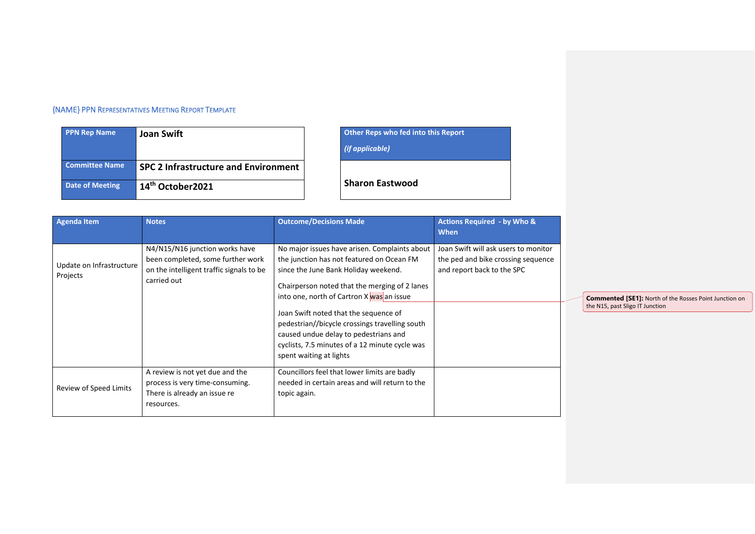## {NAME} PPN REPRESENTATIVES MEETING REPORT TEMPLATE

| <b>PPN Rep Name</b>    | <b>Joan Swift</b>                           |
|------------------------|---------------------------------------------|
| <b>Committee Name</b>  | <b>SPC 2 Infrastructure and Environment</b> |
| <b>Date of Meeting</b> | 14 <sup>th</sup> October2021                |

## **Phalo Brand Scher Reps who fed into this Report**

*(if applicable)*

**Sharon Eastwood** 

| <b>Agenda Item</b>                   | <b>Notes</b>                                                                                                                   | <b>Outcome/Decisions Made</b>                                                                                                                                                                                                                                                                                                                                                                                                                     | <b>Actions Required - by Who &amp;</b><br><b>When</b>                                                    |           |
|--------------------------------------|--------------------------------------------------------------------------------------------------------------------------------|---------------------------------------------------------------------------------------------------------------------------------------------------------------------------------------------------------------------------------------------------------------------------------------------------------------------------------------------------------------------------------------------------------------------------------------------------|----------------------------------------------------------------------------------------------------------|-----------|
| Update on Infrastructure<br>Projects | N4/N15/N16 junction works have<br>been completed, some further work<br>on the intelligent traffic signals to be<br>carried out | No major issues have arisen. Complaints about<br>the junction has not featured on Ocean FM<br>since the June Bank Holiday weekend.<br>Chairperson noted that the merging of 2 lanes<br>into one, north of Cartron X was an issue<br>Joan Swift noted that the sequence of<br>pedestrian//bicycle crossings travelling south<br>caused undue delay to pedestrians and<br>cyclists, 7.5 minutes of a 12 minute cycle was<br>spent waiting at lights | Joan Swift will ask users to monitor<br>the ped and bike crossing sequence<br>and report back to the SPC | Co<br>the |
| Review of Speed Limits               | A review is not yet due and the<br>process is very time-consuming.<br>There is already an issue re<br>resources.               | Councillors feel that lower limits are badly<br>needed in certain areas and will return to the<br>topic again.                                                                                                                                                                                                                                                                                                                                    |                                                                                                          |           |

**Commented [SE1]:** North of the Rosses Point Junction on the N15, past Sligo IT Junction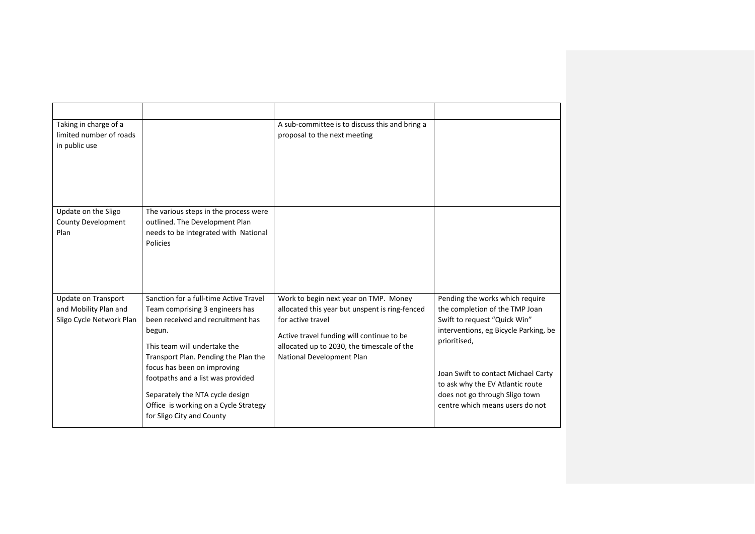| Taking in charge of a<br>limited number of roads<br>in public use               |                                                                                                                                                                                                                                                                                                                                                                               | A sub-committee is to discuss this and bring a<br>proposal to the next meeting                                                                                                                                                       |                                                                                                                                                                                                                                                                                                            |
|---------------------------------------------------------------------------------|-------------------------------------------------------------------------------------------------------------------------------------------------------------------------------------------------------------------------------------------------------------------------------------------------------------------------------------------------------------------------------|--------------------------------------------------------------------------------------------------------------------------------------------------------------------------------------------------------------------------------------|------------------------------------------------------------------------------------------------------------------------------------------------------------------------------------------------------------------------------------------------------------------------------------------------------------|
| Update on the Sligo<br><b>County Development</b><br>Plan                        | The various steps in the process were<br>outlined. The Development Plan<br>needs to be integrated with National<br>Policies                                                                                                                                                                                                                                                   |                                                                                                                                                                                                                                      |                                                                                                                                                                                                                                                                                                            |
| <b>Update on Transport</b><br>and Mobility Plan and<br>Sligo Cycle Network Plan | Sanction for a full-time Active Travel<br>Team comprising 3 engineers has<br>been received and recruitment has<br>begun.<br>This team will undertake the<br>Transport Plan. Pending the Plan the<br>focus has been on improving<br>footpaths and a list was provided<br>Separately the NTA cycle design<br>Office is working on a Cycle Strategy<br>for Sligo City and County | Work to begin next year on TMP. Money<br>allocated this year but unspent is ring-fenced<br>for active travel<br>Active travel funding will continue to be<br>allocated up to 2030, the timescale of the<br>National Development Plan | Pending the works which require<br>the completion of the TMP Joan<br>Swift to request "Quick Win"<br>interventions, eg Bicycle Parking, be<br>prioritised,<br>Joan Swift to contact Michael Carty<br>to ask why the EV Atlantic route<br>does not go through Sligo town<br>centre which means users do not |